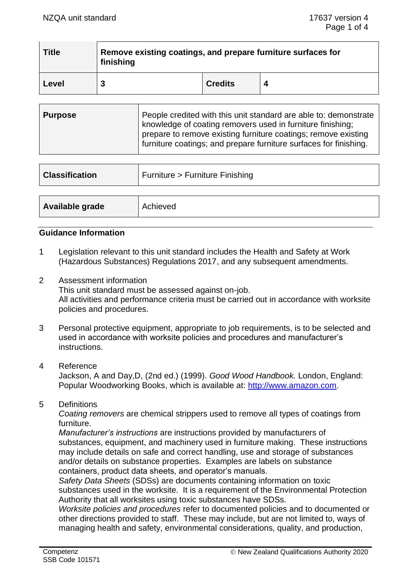| <b>Title</b> | Remove existing coatings, and prepare furniture surfaces for<br>finishing |                |  |  |
|--------------|---------------------------------------------------------------------------|----------------|--|--|
| Level        |                                                                           | <b>Credits</b> |  |  |

| ∣ Purpose | People credited with this unit standard are able to: demonstrate<br>knowledge of coating removers used in furniture finishing;<br>prepare to remove existing furniture coatings; remove existing<br>furniture coatings; and prepare furniture surfaces for finishing. |
|-----------|-----------------------------------------------------------------------------------------------------------------------------------------------------------------------------------------------------------------------------------------------------------------------|
|           |                                                                                                                                                                                                                                                                       |

| <b>Classification</b> | Furniture > Furniture Finishing |
|-----------------------|---------------------------------|
|                       |                                 |
| Available grade       | Achieved                        |

## **Guidance Information**

- 1 Legislation relevant to this unit standard includes the Health and Safety at Work (Hazardous Substances) Regulations 2017, and any subsequent amendments.
- 2 Assessment information This unit standard must be assessed against on-job. All activities and performance criteria must be carried out in accordance with worksite policies and procedures.
- 3 Personal protective equipment, appropriate to job requirements, is to be selected and used in accordance with worksite policies and procedures and manufacturer's instructions.

#### 4 Reference

Jackson, A and Day,D, (2nd ed.) (1999). *Good Wood Handbook.* London, England: Popular Woodworking Books, which is available at: [http://www.amazon.com.](http://www.amazon.com/)

5 Definitions

*Coating removers* are chemical strippers used to remove all types of coatings from furniture.

*Manufacturer's instructions* are instructions provided by manufacturers of substances, equipment, and machinery used in furniture making. These instructions may include details on safe and correct handling, use and storage of substances and/or details on substance properties. Examples are labels on substance containers, product data sheets, and operator's manuals.

*Safety Data Sheets* (SDSs) are documents containing information on toxic substances used in the worksite. It is a requirement of the Environmental Protection Authority that all worksites using toxic substances have SDSs.

*Worksite policies and procedures* refer to documented policies and to documented or other directions provided to staff. These may include, but are not limited to, ways of managing health and safety, environmental considerations, quality, and production,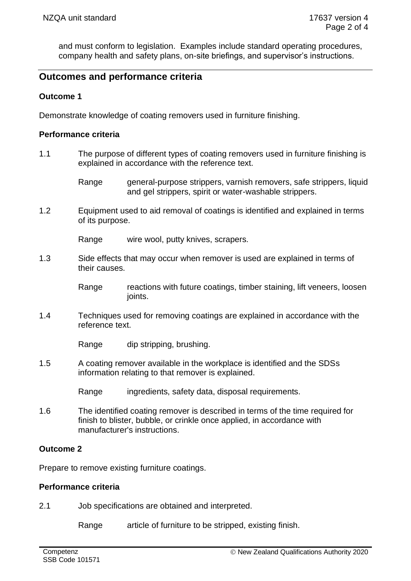and must conform to legislation. Examples include standard operating procedures, company health and safety plans, on-site briefings, and supervisor's instructions.

# **Outcomes and performance criteria**

## **Outcome 1**

Demonstrate knowledge of coating removers used in furniture finishing.

#### **Performance criteria**

- 1.1 The purpose of different types of coating removers used in furniture finishing is explained in accordance with the reference text.
	- Range general-purpose strippers, varnish removers, safe strippers, liquid and gel strippers, spirit or water-washable strippers.
- 1.2 Equipment used to aid removal of coatings is identified and explained in terms of its purpose.

Range wire wool, putty knives, scrapers.

1.3 Side effects that may occur when remover is used are explained in terms of their causes.

> Range reactions with future coatings, timber staining, lift veneers, loosen ioints.

1.4 Techniques used for removing coatings are explained in accordance with the reference text.

Range dip stripping, brushing.

- 1.5 A coating remover available in the workplace is identified and the SDSs information relating to that remover is explained.
	- Range ingredients, safety data, disposal requirements.
- 1.6 The identified coating remover is described in terms of the time required for finish to blister, bubble, or crinkle once applied, in accordance with manufacturer's instructions.

## **Outcome 2**

Prepare to remove existing furniture coatings.

#### **Performance criteria**

2.1 Job specifications are obtained and interpreted.

Range article of furniture to be stripped, existing finish.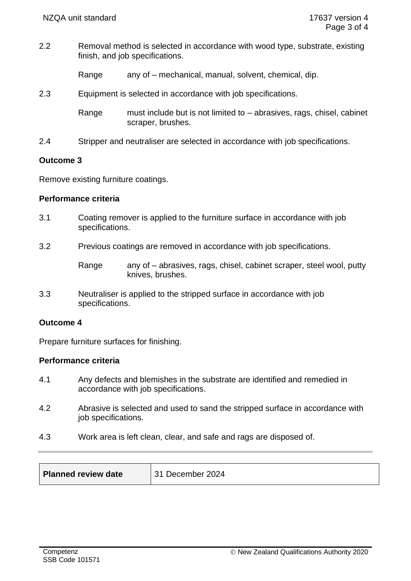2.2 Removal method is selected in accordance with wood type, substrate, existing finish, and job specifications.

Range any of – mechanical, manual, solvent, chemical, dip.

2.3 Equipment is selected in accordance with job specifications.

Range must include but is not limited to – abrasives, rags, chisel, cabinet scraper, brushes.

2.4 Stripper and neutraliser are selected in accordance with job specifications.

#### **Outcome 3**

Remove existing furniture coatings.

#### **Performance criteria**

- 3.1 Coating remover is applied to the furniture surface in accordance with job specifications.
- 3.2 Previous coatings are removed in accordance with job specifications.

3.3 Neutraliser is applied to the stripped surface in accordance with job specifications.

## **Outcome 4**

Prepare furniture surfaces for finishing.

## **Performance criteria**

- 4.1 Any defects and blemishes in the substrate are identified and remedied in accordance with job specifications.
- 4.2 Abrasive is selected and used to sand the stripped surface in accordance with job specifications.
- 4.3 Work area is left clean, clear, and safe and rags are disposed of.

| <b>Planned review date</b> | December 2024 |
|----------------------------|---------------|
|----------------------------|---------------|

Range any of – abrasives, rags, chisel, cabinet scraper, steel wool, putty knives, brushes.